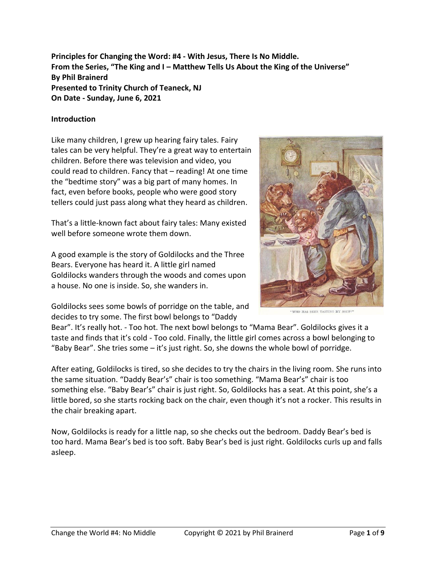**Principles for Changing the Word: #4 - With Jesus, There Is No Middle. From the Series, "The King and I – Matthew Tells Us About the King of the Universe" By Phil Brainerd Presented to Trinity Church of Teaneck, NJ On Date - Sunday, June 6, 2021**

#### **Introduction**

Like many children, I grew up hearing fairy tales. Fairy tales can be very helpful. They're a great way to entertain children. Before there was television and video, you could read to children. Fancy that – reading! At one time the "bedtime story" was a big part of many homes. In fact, even before books, people who were good story tellers could just pass along what they heard as children.

That's a little-known fact about fairy tales: Many existed well before someone wrote them down.

A good example is the story of Goldilocks and the Three Bears. Everyone has heard it. A little girl named Goldilocks wanders through the woods and comes upon a house. No one is inside. So, she wanders in.

Goldilocks sees some bowls of porridge on the table, and decides to try some. The first bowl belongs to "Daddy



Bear". It's really hot. - Too hot. The next bowl belongs to "Mama Bear". Goldilocks gives it a taste and finds that it's cold - Too cold. Finally, the little girl comes across a bowl belonging to "Baby Bear". She tries some – it's just right. So, she downs the whole bowl of porridge.

After eating, Goldilocks is tired, so she decides to try the chairs in the living room. She runs into the same situation. "Daddy Bear's" chair is too something. "Mama Bear's" chair is too something else. "Baby Bear's" chair is just right. So, Goldilocks has a seat. At this point, she's a little bored, so she starts rocking back on the chair, even though it's not a rocker. This results in the chair breaking apart.

Now, Goldilocks is ready for a little nap, so she checks out the bedroom. Daddy Bear's bed is too hard. Mama Bear's bed is too soft. Baby Bear's bed is just right. Goldilocks curls up and falls asleep.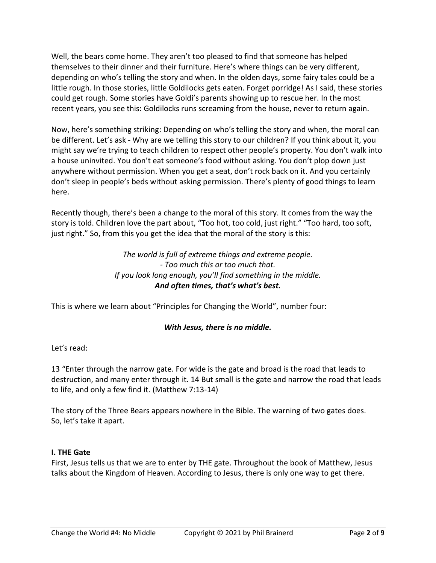Well, the bears come home. They aren't too pleased to find that someone has helped themselves to their dinner and their furniture. Here's where things can be very different, depending on who's telling the story and when. In the olden days, some fairy tales could be a little rough. In those stories, little Goldilocks gets eaten. Forget porridge! As I said, these stories could get rough. Some stories have Goldi's parents showing up to rescue her. In the most recent years, you see this: Goldilocks runs screaming from the house, never to return again.

Now, here's something striking: Depending on who's telling the story and when, the moral can be different. Let's ask - Why are we telling this story to our children? If you think about it, you might say we're trying to teach children to respect other people's property. You don't walk into a house uninvited. You don't eat someone's food without asking. You don't plop down just anywhere without permission. When you get a seat, don't rock back on it. And you certainly don't sleep in people's beds without asking permission. There's plenty of good things to learn here.

Recently though, there's been a change to the moral of this story. It comes from the way the story is told. Children love the part about, "Too hot, too cold, just right." "Too hard, too soft, just right." So, from this you get the idea that the moral of the story is this:

## *The world is full of extreme things and extreme people. - Too much this or too much that. If you look long enough, you'll find something in the middle. And often times, that's what's best.*

This is where we learn about "Principles for Changing the World", number four:

# *With Jesus, there is no middle.*

## Let's read:

13 "Enter through the narrow gate. For wide is the gate and broad is the road that leads to destruction, and many enter through it. 14 But small is the gate and narrow the road that leads to life, and only a few find it. (Matthew 7:13-14)

The story of the Three Bears appears nowhere in the Bible. The warning of two gates does. So, let's take it apart.

#### **I. THE Gate**

First, Jesus tells us that we are to enter by THE gate. Throughout the book of Matthew, Jesus talks about the Kingdom of Heaven. According to Jesus, there is only one way to get there.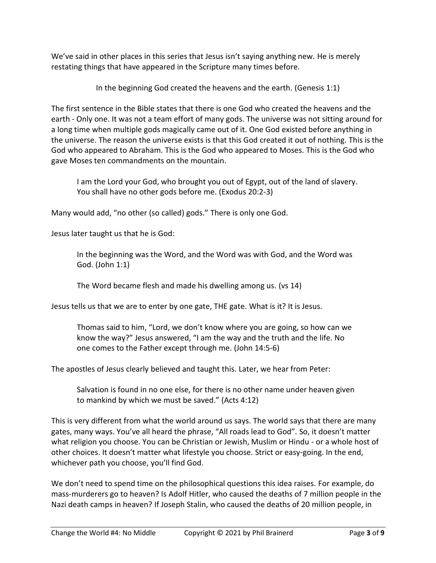We've said in other places in this series that Jesus isn't saying anything new. He is merely restating things that have appeared in the Scripture many times before.

In the beginning God created the heavens and the earth. (Genesis 1:1)

The first sentence in the Bible states that there is one God who created the heavens and the earth - Only one. It was not a team effort of many gods. The universe was not sitting around for a long time when multiple gods magically came out of it. One God existed before anything in the universe. The reason the universe exists is that this God created it out of nothing. This is the God who appeared to Abraham. This is the God who appeared to Moses. This is the God who gave Moses ten commandments on the mountain.

I am the Lord your God, who brought you out of Egypt, out of the land of slavery. You shall have no other gods before me. (Exodus 20:2-3)

Many would add, "no other (so called) gods." There is only one God.

Jesus later taught us that he is God:

In the beginning was the Word, and the Word was with God, and the Word was God. (John 1:1)

The Word became flesh and made his dwelling among us. (vs 14)

Jesus tells us that we are to enter by one gate, THE gate. What is it? It is Jesus.

Thomas said to him, "Lord, we don't know where you are going, so how can we know the way?" Jesus answered, "I am the way and the truth and the life. No one comes to the Father except through me. (John 14:5-6)

The apostles of Jesus clearly believed and taught this. Later, we hear from Peter:

Salvation is found in no one else, for there is no other name under heaven given to mankind by which we must be saved." (Acts 4:12)

This is very different from what the world around us says. The world says that there are many gates, many ways. You've all heard the phrase, "All roads lead to God". So, it doesn't matter what religion you choose. You can be Christian or Jewish, Muslim or Hindu - or a whole host of other choices. It doesn't matter what lifestyle you choose. Strict or easy-going. In the end, whichever path you choose, you'll find God.

We don't need to spend time on the philosophical questions this idea raises. For example, do mass-murderers go to heaven? Is Adolf Hitler, who caused the deaths of 7 million people in the Nazi death camps in heaven? If Joseph Stalin, who caused the deaths of 20 million people, in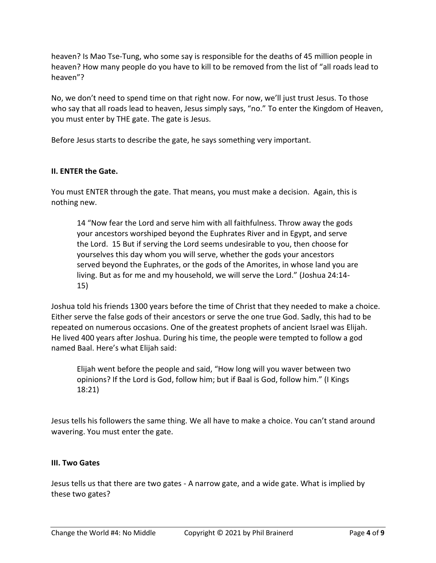heaven? Is Mao Tse-Tung, who some say is responsible for the deaths of 45 million people in heaven? How many people do you have to kill to be removed from the list of "all roads lead to heaven"?

No, we don't need to spend time on that right now. For now, we'll just trust Jesus. To those who say that all roads lead to heaven, Jesus simply says, "no." To enter the Kingdom of Heaven, you must enter by THE gate. The gate is Jesus.

Before Jesus starts to describe the gate, he says something very important.

## **II. ENTER the Gate.**

You must ENTER through the gate. That means, you must make a decision. Again, this is nothing new.

14 "Now fear the Lord and serve him with all faithfulness. Throw away the gods your ancestors worshiped beyond the Euphrates River and in Egypt, and serve the Lord. 15 But if serving the Lord seems undesirable to you, then choose for yourselves this day whom you will serve, whether the gods your ancestors served beyond the Euphrates, or the gods of the Amorites, in whose land you are living. But as for me and my household, we will serve the Lord." (Joshua 24:14- 15)

Joshua told his friends 1300 years before the time of Christ that they needed to make a choice. Either serve the false gods of their ancestors or serve the one true God. Sadly, this had to be repeated on numerous occasions. One of the greatest prophets of ancient Israel was Elijah. He lived 400 years after Joshua. During his time, the people were tempted to follow a god named Baal. Here's what Elijah said:

Elijah went before the people and said, "How long will you waver between two opinions? If the Lord is God, follow him; but if Baal is God, follow him." (I Kings 18:21)

Jesus tells his followers the same thing. We all have to make a choice. You can't stand around wavering. You must enter the gate.

## **III. Two Gates**

Jesus tells us that there are two gates - A narrow gate, and a wide gate. What is implied by these two gates?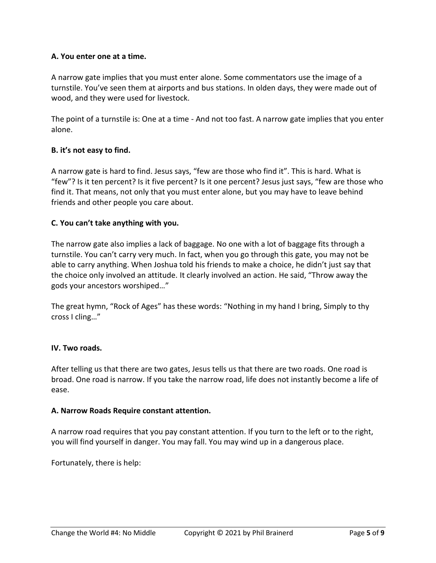#### **A. You enter one at a time.**

A narrow gate implies that you must enter alone. Some commentators use the image of a turnstile. You've seen them at airports and bus stations. In olden days, they were made out of wood, and they were used for livestock.

The point of a turnstile is: One at a time - And not too fast. A narrow gate implies that you enter alone.

#### **B. it's not easy to find.**

A narrow gate is hard to find. Jesus says, "few are those who find it". This is hard. What is "few"? Is it ten percent? Is it five percent? Is it one percent? Jesus just says, "few are those who find it. That means, not only that you must enter alone, but you may have to leave behind friends and other people you care about.

#### **C. You can't take anything with you.**

The narrow gate also implies a lack of baggage. No one with a lot of baggage fits through a turnstile. You can't carry very much. In fact, when you go through this gate, you may not be able to carry anything. When Joshua told his friends to make a choice, he didn't just say that the choice only involved an attitude. It clearly involved an action. He said, "Throw away the gods your ancestors worshiped…"

The great hymn, "Rock of Ages" has these words: "Nothing in my hand I bring, Simply to thy cross I cling…"

## **IV. Two roads.**

After telling us that there are two gates, Jesus tells us that there are two roads. One road is broad. One road is narrow. If you take the narrow road, life does not instantly become a life of ease.

#### **A. Narrow Roads Require constant attention.**

A narrow road requires that you pay constant attention. If you turn to the left or to the right, you will find yourself in danger. You may fall. You may wind up in a dangerous place.

Fortunately, there is help: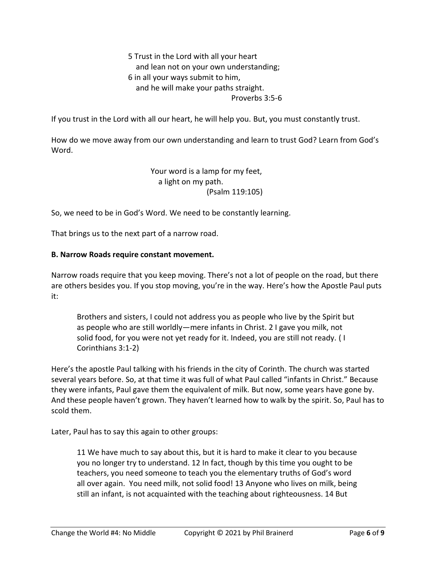5 Trust in the Lord with all your heart and lean not on your own understanding; 6 in all your ways submit to him, and he will make your paths straight. Proverbs 3:5-6

If you trust in the Lord with all our heart, he will help you. But, you must constantly trust.

How do we move away from our own understanding and learn to trust God? Learn from God's Word.

> Your word is a lamp for my feet, a light on my path. (Psalm 119:105)

So, we need to be in God's Word. We need to be constantly learning.

That brings us to the next part of a narrow road.

#### **B. Narrow Roads require constant movement.**

Narrow roads require that you keep moving. There's not a lot of people on the road, but there are others besides you. If you stop moving, you're in the way. Here's how the Apostle Paul puts it:

Brothers and sisters, I could not address you as people who live by the Spirit but as people who are still worldly—mere infants in Christ. 2 I gave you milk, not solid food, for you were not yet ready for it. Indeed, you are still not ready. ( I Corinthians 3:1-2)

Here's the apostle Paul talking with his friends in the city of Corinth. The church was started several years before. So, at that time it was full of what Paul called "infants in Christ." Because they were infants, Paul gave them the equivalent of milk. But now, some years have gone by. And these people haven't grown. They haven't learned how to walk by the spirit. So, Paul has to scold them.

Later, Paul has to say this again to other groups:

11 We have much to say about this, but it is hard to make it clear to you because you no longer try to understand. 12 In fact, though by this time you ought to be teachers, you need someone to teach you the elementary truths of God's word all over again. You need milk, not solid food! 13 Anyone who lives on milk, being still an infant, is not acquainted with the teaching about righteousness. 14 But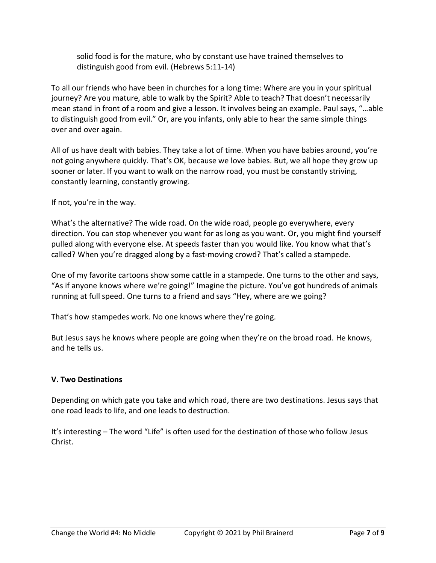solid food is for the mature, who by constant use have trained themselves to distinguish good from evil. (Hebrews 5:11-14)

To all our friends who have been in churches for a long time: Where are you in your spiritual journey? Are you mature, able to walk by the Spirit? Able to teach? That doesn't necessarily mean stand in front of a room and give a lesson. It involves being an example. Paul says, "…able to distinguish good from evil." Or, are you infants, only able to hear the same simple things over and over again.

All of us have dealt with babies. They take a lot of time. When you have babies around, you're not going anywhere quickly. That's OK, because we love babies. But, we all hope they grow up sooner or later. If you want to walk on the narrow road, you must be constantly striving, constantly learning, constantly growing.

If not, you're in the way.

What's the alternative? The wide road. On the wide road, people go everywhere, every direction. You can stop whenever you want for as long as you want. Or, you might find yourself pulled along with everyone else. At speeds faster than you would like. You know what that's called? When you're dragged along by a fast-moving crowd? That's called a stampede.

One of my favorite cartoons show some cattle in a stampede. One turns to the other and says, "As if anyone knows where we're going!" Imagine the picture. You've got hundreds of animals running at full speed. One turns to a friend and says "Hey, where are we going?

That's how stampedes work. No one knows where they're going.

But Jesus says he knows where people are going when they're on the broad road. He knows, and he tells us.

## **V. Two Destinations**

Depending on which gate you take and which road, there are two destinations. Jesus says that one road leads to life, and one leads to destruction.

It's interesting – The word "Life" is often used for the destination of those who follow Jesus Christ.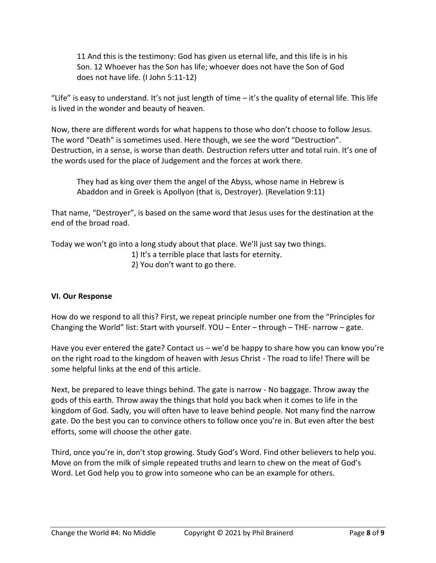11 And this is the testimony: God has given us eternal life, and this life is in his Son. 12 Whoever has the Son has life; whoever does not have the Son of God does not have life. (I John 5:11-12)

"Life" is easy to understand. It's not just length of time – it's the quality of eternal life. This life is lived in the wonder and beauty of heaven.

Now, there are different words for what happens to those who don't choose to follow Jesus. The word "Death" is sometimes used. Here though, we see the word "Destruction". Destruction, in a sense, is worse than death. Destruction refers utter and total ruin. It's one of the words used for the place of Judgement and the forces at work there.

They had as king over them the angel of the Abyss, whose name in Hebrew is Abaddon and in Greek is Apollyon (that is, Destroyer). (Revelation 9:11)

That name, "Destroyer", is based on the same word that Jesus uses for the destination at the end of the broad road.

Today we won't go into a long study about that place. We'll just say two things.

- 1) It's a terrible place that lasts for eternity.
- 2) You don't want to go there.

## **VI. Our Response**

How do we respond to all this? First, we repeat principle number one from the "Principles for Changing the World" list: Start with yourself. YOU – Enter – through – THE- narrow – gate.

Have you ever entered the gate? Contact us - we'd be happy to share how you can know you're on the right road to the kingdom of heaven with Jesus Christ - The road to life! There will be some helpful links at the end of this article.

Next, be prepared to leave things behind. The gate is narrow - No baggage. Throw away the gods of this earth. Throw away the things that hold you back when it comes to life in the kingdom of God. Sadly, you will often have to leave behind people. Not many find the narrow gate. Do the best you can to convince others to follow once you're in. But even after the best efforts, some will choose the other gate.

Third, once you're in, don't stop growing. Study God's Word. Find other believers to help you. Move on from the milk of simple repeated truths and learn to chew on the meat of God's Word. Let God help you to grow into someone who can be an example for others.